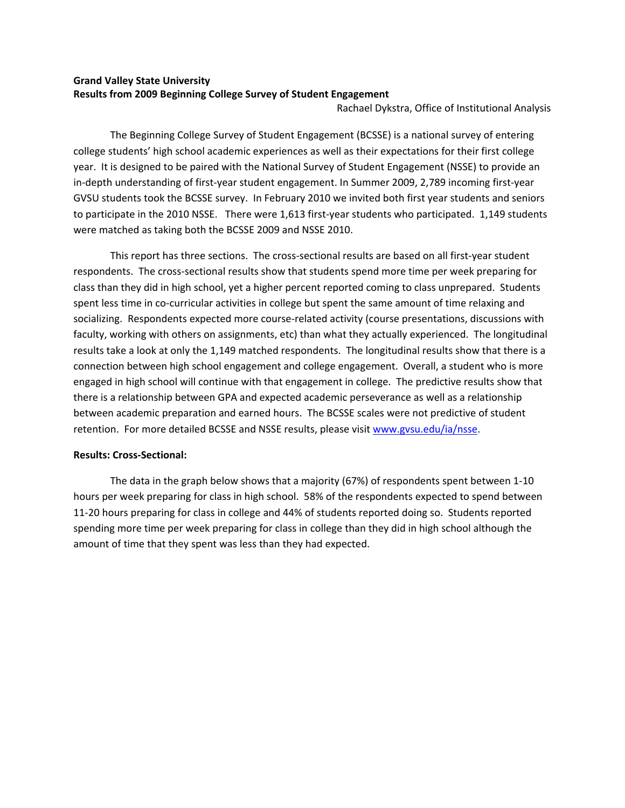# **Grand Valley State University Results from 2009 Beginning College Survey of Student Engagement**

Rachael Dykstra, Office of Institutional Analysis

The Beginning College Survey of Student Engagement (BCSSE) is a national survey of entering college students' high school academic experiences as well as their expectations for their first college year. It is designed to be paired with the National Survey of Student Engagement (NSSE) to provide an in-depth understanding of first-year student engagement. In Summer 2009, 2,789 incoming first-year GVSU students took the BCSSE survey. In February 2010 we invited both first year students and seniors to participate in the 2010 NSSE. There were 1,613 first-year students who participated. 1,149 students were matched as taking both the BCSSE 2009 and NSSE 2010.

This report has three sections. The cross-sectional results are based on all first-year student respondents. The cross‐sectional results show that students spend more time per week preparing for class than they did in high school, yet a higher percent reported coming to class unprepared. Students spent less time in co-curricular activities in college but spent the same amount of time relaxing and socializing. Respondents expected more course-related activity (course presentations, discussions with faculty, working with others on assignments, etc) than what they actually experienced. The longitudinal results take a look at only the 1,149 matched respondents. The longitudinal results show that there is a connection between high school engagement and college engagement. Overall, a student who is more engaged in high school will continue with that engagement in college. The predictive results show that there is a relationship between GPA and expected academic perseverance as well as a relationship between academic preparation and earned hours. The BCSSE scales were not predictive of student retention. For more detailed BCSSE and NSSE results, please visit www.gvsu.edu/ia/nsse.

## **Results: Cross‐Sectional:**

The data in the graph below shows that a majority (67%) of respondents spent between 1‐10 hours per week preparing for class in high school. 58% of the respondents expected to spend between 11‐20 hours preparing for class in college and 44% of students reported doing so. Students reported spending more time per week preparing for class in college than they did in high school although the amount of time that they spent was less than they had expected.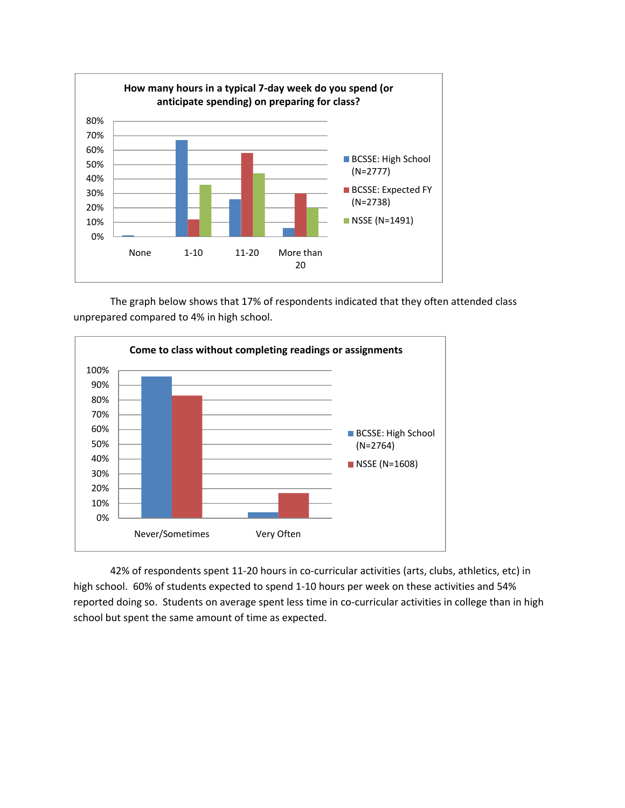

The graph below shows that 17% of respondents indicated that they often attended class unprepared compared to 4% in high school.



42% of respondents spent 11-20 hours in co-curricular activities (arts, clubs, athletics, etc) in high school. 60% of students expected to spend 1-10 hours per week on these activities and 54% reported doing so. Students on average spent less time in co-curricular activities in college than in high school but spent the same amount of time as expected.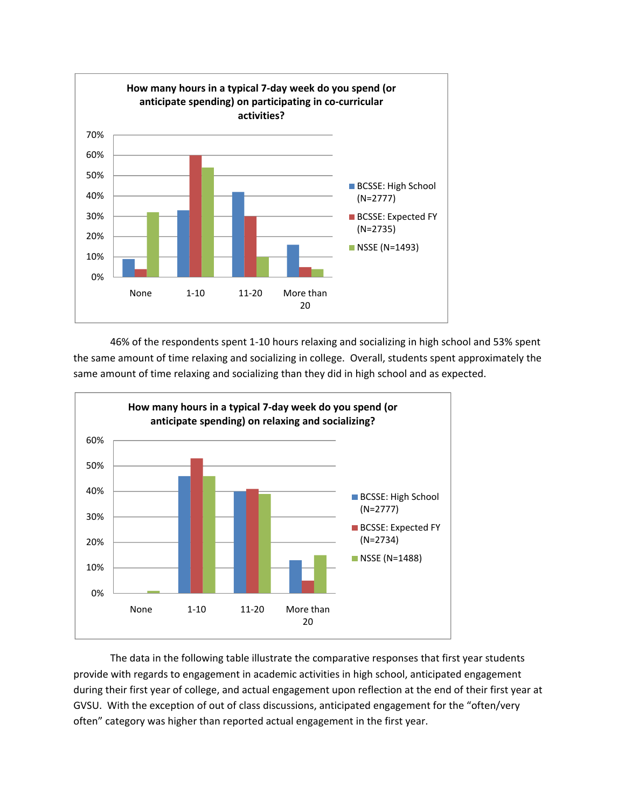

46% of the respondents spent 1‐10 hours relaxing and socializing in high school and 53% spent the same amount of time relaxing and socializing in college. Overall, students spent approximately the same amount of time relaxing and socializing than they did in high school and as expected.



The data in the following table illustrate the comparative responses that first year students provide with regards to engagement in academic activities in high school, anticipated engagement during their first year of college, and actual engagement upon reflection at the end of their first year at GVSU. With the exception of out of class discussions, anticipated engagement for the "often/very often" category was higher than reported actual engagement in the first year.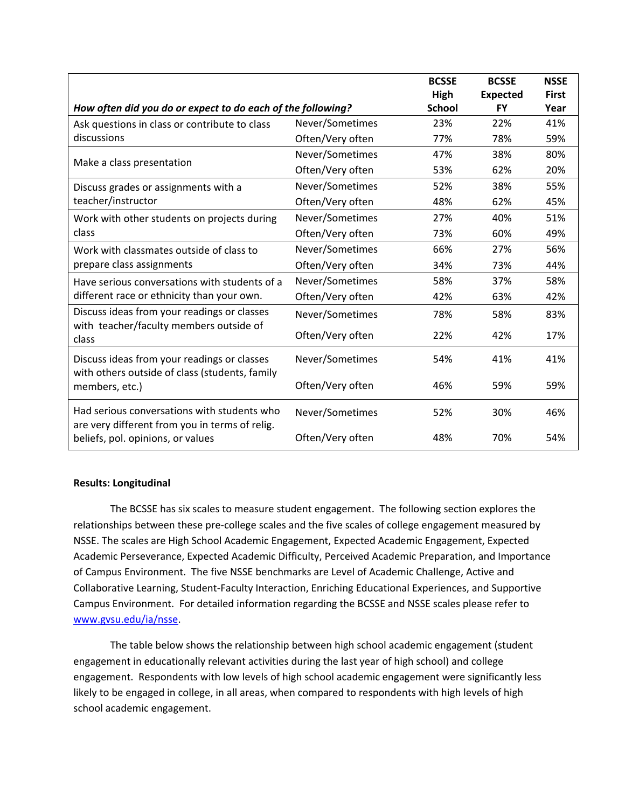|                                                                                               |                  | <b>BCSSE</b>          | <b>BCSSE</b>          | <b>NSSE</b>          |
|-----------------------------------------------------------------------------------------------|------------------|-----------------------|-----------------------|----------------------|
| How often did you do or expect to do each of the following?                                   |                  | High<br><b>School</b> | <b>Expected</b><br>FY | <b>First</b><br>Year |
| Ask questions in class or contribute to class                                                 | Never/Sometimes  | 23%                   | 22%                   | 41%                  |
| discussions                                                                                   | Often/Very often | 77%                   | 78%                   | 59%                  |
|                                                                                               | Never/Sometimes  | 47%                   | 38%                   | 80%                  |
| Make a class presentation                                                                     | Often/Very often | 53%                   | 62%                   | 20%                  |
| Discuss grades or assignments with a                                                          | Never/Sometimes  | 52%                   | 38%                   | 55%                  |
| teacher/instructor                                                                            | Often/Very often | 48%                   | 62%                   | 45%                  |
| Work with other students on projects during                                                   | Never/Sometimes  | 27%                   | 40%                   | 51%                  |
| class                                                                                         | Often/Very often | 73%                   | 60%                   | 49%                  |
| Work with classmates outside of class to                                                      | Never/Sometimes  | 66%                   | 27%                   | 56%                  |
| prepare class assignments                                                                     | Often/Very often | 34%                   | 73%                   | 44%                  |
| Have serious conversations with students of a                                                 | Never/Sometimes  | 58%                   | 37%                   | 58%                  |
| different race or ethnicity than your own.                                                    | Often/Very often | 42%                   | 63%                   | 42%                  |
| Discuss ideas from your readings or classes                                                   | Never/Sometimes  | 78%                   | 58%                   | 83%                  |
| with teacher/faculty members outside of<br>class                                              | Often/Very often | 22%                   | 42%                   | 17%                  |
| Discuss ideas from your readings or classes<br>with others outside of class (students, family | Never/Sometimes  | 54%                   | 41%                   | 41%                  |
| members, etc.)                                                                                | Often/Very often | 46%                   | 59%                   | 59%                  |
| Had serious conversations with students who<br>are very different from you in terms of relig. | Never/Sometimes  | 52%                   | 30%                   | 46%                  |
| beliefs, pol. opinions, or values                                                             | Often/Very often | 48%                   | 70%                   | 54%                  |

## **Results: Longitudinal**

The BCSSE has six scales to measure student engagement. The following section explores the relationships between these pre‐college scales and the five scales of college engagement measured by NSSE. The scales are High School Academic Engagement, Expected Academic Engagement, Expected Academic Perseverance, Expected Academic Difficulty, Perceived Academic Preparation, and Importance of Campus Environment. The five NSSE benchmarks are Level of Academic Challenge, Active and Collaborative Learning, Student‐Faculty Interaction, Enriching Educational Experiences, and Supportive Campus Environment. For detailed information regarding the BCSSE and NSSE scales please refer to www.gvsu.edu/ia/nsse.

The table below shows the relationship between high school academic engagement (student engagement in educationally relevant activities during the last year of high school) and college engagement. Respondents with low levels of high school academic engagement were significantly less likely to be engaged in college, in all areas, when compared to respondents with high levels of high school academic engagement.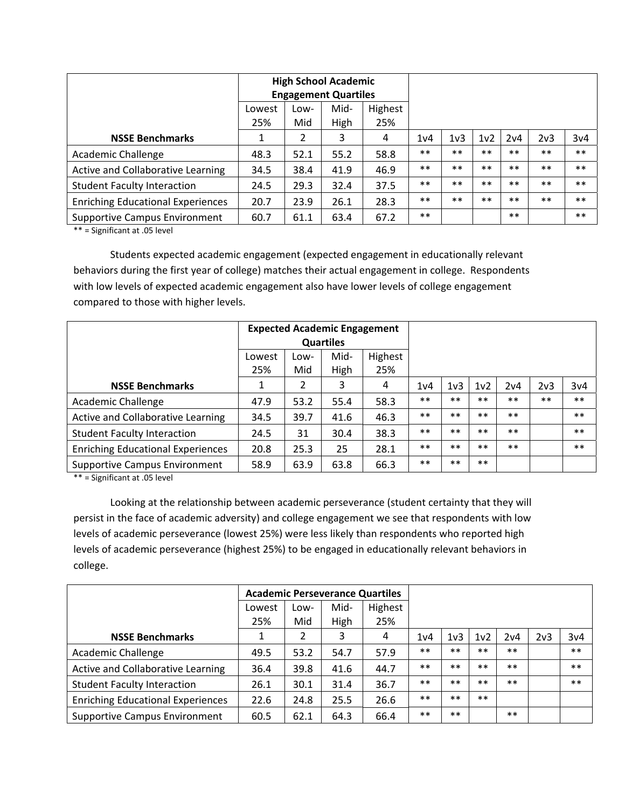|                                          |        |      | <b>High School Academic</b><br><b>Engagement Quartiles</b> |         |       |                  |                  |       |       |       |
|------------------------------------------|--------|------|------------------------------------------------------------|---------|-------|------------------|------------------|-------|-------|-------|
|                                          | Lowest | Low- | Mid-                                                       | Highest |       |                  |                  |       |       |       |
|                                          | 25%    | Mid  | High                                                       | 25%     |       |                  |                  |       |       |       |
| <b>NSSE Benchmarks</b>                   | 1      | 2    | 3                                                          | 4       | 1v4   | 1 <sub>v</sub> 3 | 1 <sub>v</sub> 2 | 2v4   | 2v3   | 3v4   |
| Academic Challenge                       | 48.3   | 52.1 | 55.2                                                       | 58.8    | $***$ | $***$            | $**$             | $***$ | $***$ | $***$ |
| Active and Collaborative Learning        | 34.5   | 38.4 | 41.9                                                       | 46.9    | $***$ | $**$             | $**$             | $**$  | $***$ | $***$ |
| <b>Student Faculty Interaction</b>       | 24.5   | 29.3 | 32.4                                                       | 37.5    | $***$ | $**$             | $**$             | $**$  | $***$ | $***$ |
| <b>Enriching Educational Experiences</b> | 20.7   | 23.9 | 26.1                                                       | 28.3    | $***$ | $***$            | $**$             | $**$  | $***$ | $***$ |
| Supportive Campus Environment            | 60.7   | 61.1 | 63.4                                                       | 67.2    | $***$ |                  |                  | $***$ |       | $***$ |

Students expected academic engagement (expected engagement in educationally relevant behaviors during the first year of college) matches their actual engagement in college. Respondents with low levels of expected academic engagement also have lower levels of college engagement compared to those with higher levels.

|                                          |        |      | <b>Expected Academic Engagement</b><br><b>Quartiles</b> |         |                  |                  |                  |       |       |       |
|------------------------------------------|--------|------|---------------------------------------------------------|---------|------------------|------------------|------------------|-------|-------|-------|
|                                          | Lowest | Low- | Mid-                                                    | Highest |                  |                  |                  |       |       |       |
|                                          | 25%    | Mid  | High                                                    | 25%     |                  |                  |                  |       |       |       |
| <b>NSSE Benchmarks</b>                   |        | 2    | 3                                                       | 4       | 1 <sub>v</sub> 4 | 1 <sub>v</sub> 3 | 1 <sub>v</sub> 2 | 2v4   | 2v3   | 3v4   |
| Academic Challenge                       | 47.9   | 53.2 | 55.4                                                    | 58.3    | $***$            | $**$             | $***$            | $**$  | $***$ | $***$ |
| Active and Collaborative Learning        | 34.5   | 39.7 | 41.6                                                    | 46.3    | $***$            | $**$             | $**$             | $**$  |       | $***$ |
| <b>Student Faculty Interaction</b>       | 24.5   | 31   | 30.4                                                    | 38.3    | $***$            | $***$            | $***$            | $***$ |       | $***$ |
| <b>Enriching Educational Experiences</b> | 20.8   | 25.3 | 25                                                      | 28.1    | $***$            | $***$            | $***$            | $***$ |       | $***$ |
| <b>Supportive Campus Environment</b>     | 58.9   | 63.9 | 63.8                                                    | 66.3    | $***$            | $***$            | $***$            |       |       |       |

\*\* = Significant at .05 level

Looking at the relationship between academic perseverance (student certainty that they will persist in the face of academic adversity) and college engagement we see that respondents with low levels of academic perseverance (lowest 25%) were less likely than respondents who reported high levels of academic perseverance (highest 25%) to be engaged in educationally relevant behaviors in college.

|                                          |        |      |      | <b>Academic Perseverance Quartiles</b> |                  |                  |                  |       |                  |       |
|------------------------------------------|--------|------|------|----------------------------------------|------------------|------------------|------------------|-------|------------------|-------|
|                                          | Lowest | Low- | Mid- | Highest                                |                  |                  |                  |       |                  |       |
|                                          | 25%    | Mid  | High | 25%                                    |                  |                  |                  |       |                  |       |
| <b>NSSE Benchmarks</b>                   |        | 2    | 3    | 4                                      | 1 <sub>v</sub> 4 | 1 <sub>v</sub> 3 | 1 <sub>v</sub> 2 | 2v4   | 2 <sub>v</sub> 3 | 3v4   |
| Academic Challenge                       | 49.5   | 53.2 | 54.7 | 57.9                                   | $***$            | $**$             | $***$            | $***$ |                  | $***$ |
| Active and Collaborative Learning        | 36.4   | 39.8 | 41.6 | 44.7                                   | $***$            | $**$             | $**$             | $***$ |                  | $***$ |
| <b>Student Faculty Interaction</b>       | 26.1   | 30.1 | 31.4 | 36.7                                   | $***$            | $**$             | $***$            | $***$ |                  | $***$ |
| <b>Enriching Educational Experiences</b> | 22.6   | 24.8 | 25.5 | 26.6                                   | $***$            | $**$             | $**$             |       |                  |       |
| Supportive Campus Environment            | 60.5   | 62.1 | 64.3 | 66.4                                   | $***$            | $***$            |                  | $***$ |                  |       |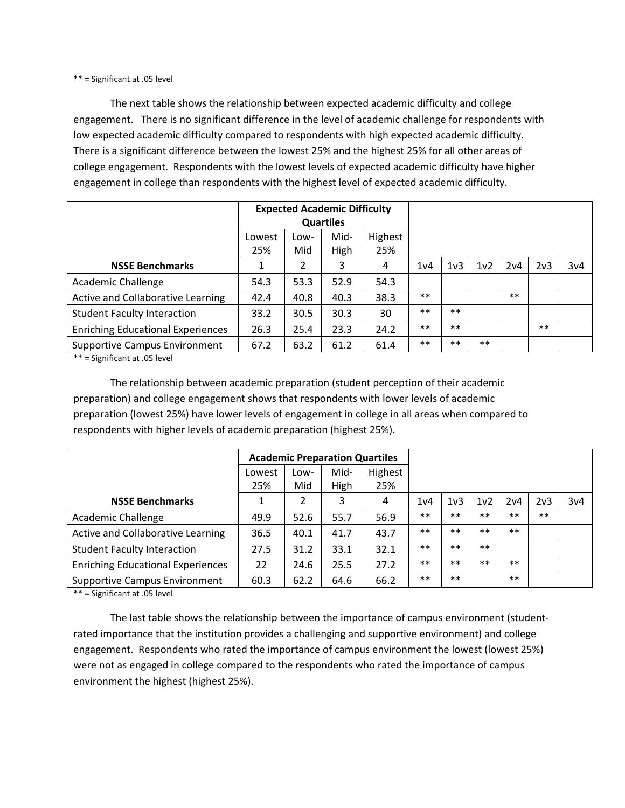The next table shows the relationship between expected academic difficulty and college engagement. There is no significant difference in the level of academic challenge for respondents with low expected academic difficulty compared to respondents with high expected academic difficulty. There is a significant difference between the lowest 25% and the highest 25% for all other areas of college engagement. Respondents with the lowest levels of expected academic difficulty have higher engagement in college than respondents with the highest level of expected academic difficulty.

|                                          |        |      | <b>Expected Academic Difficulty</b> |         |                  |                  |                  |       |                  |     |
|------------------------------------------|--------|------|-------------------------------------|---------|------------------|------------------|------------------|-------|------------------|-----|
|                                          |        |      | <b>Quartiles</b>                    |         |                  |                  |                  |       |                  |     |
|                                          | Lowest | Low- | Mid-                                | Highest |                  |                  |                  |       |                  |     |
|                                          | 25%    | Mid  | High                                | 25%     |                  |                  |                  |       |                  |     |
| <b>NSSE Benchmarks</b>                   |        | 2    | 3                                   | 4       | 1 <sub>v</sub> 4 | 1 <sub>v</sub> 3 | 1 <sub>v</sub> 2 | 2v4   | 2 <sub>v</sub> 3 | 3v4 |
| Academic Challenge                       | 54.3   | 53.3 | 52.9                                | 54.3    |                  |                  |                  |       |                  |     |
| Active and Collaborative Learning        | 42.4   | 40.8 | 40.3                                | 38.3    | $***$            |                  |                  | $***$ |                  |     |
| <b>Student Faculty Interaction</b>       | 33.2   | 30.5 | 30.3                                | 30      | $***$            | $***$            |                  |       |                  |     |
| <b>Enriching Educational Experiences</b> | 26.3   | 25.4 | 23.3                                | 24.2    | $***$            | $***$            |                  |       | $***$            |     |
| Supportive Campus Environment            | 67.2   | 63.2 | 61.2                                | 61.4    | $***$            | $***$            | $***$            |       |                  |     |

\*\* = Significant at .05 level

The relationship between academic preparation (student perception of their academic preparation) and college engagement shows that respondents with lower levels of academic preparation (lowest 25%) have lower levels of engagement in college in all areas when compared to respondents with higher levels of academic preparation (highest 25%).

|                                          |        |      | <b>Academic Preparation Quartiles</b> |         |                  |                  |                 |       |                 |     |
|------------------------------------------|--------|------|---------------------------------------|---------|------------------|------------------|-----------------|-------|-----------------|-----|
|                                          | Lowest | Low- | Mid-                                  | Highest |                  |                  |                 |       |                 |     |
|                                          | 25%    | Mid  | High                                  | 25%     |                  |                  |                 |       |                 |     |
| <b>NSSE Benchmarks</b>                   |        | 2    | 3                                     | 4       | 1 <sub>v</sub> 4 | 1 <sub>v</sub> 3 | 1v <sub>2</sub> | 2v4   | 2 <sub>v3</sub> | 3v4 |
| <b>Academic Challenge</b>                | 49.9   | 52.6 | 55.7                                  | 56.9    | $***$            | $**$             | $***$           | $***$ | $***$           |     |
| Active and Collaborative Learning        | 36.5   | 40.1 | 41.7                                  | 43.7    | $***$            | $**$             | $***$           | $***$ |                 |     |
| <b>Student Faculty Interaction</b>       | 27.5   | 31.2 | 33.1                                  | 32.1    | $***$            | $**$             | $**$            |       |                 |     |
| <b>Enriching Educational Experiences</b> | 22     | 24.6 | 25.5                                  | 27.2    | $***$            | $**$             | $***$           | $***$ |                 |     |
| <b>Supportive Campus Environment</b>     | 60.3   | 62.2 | 64.6                                  | 66.2    | $***$            | $***$            |                 | $***$ |                 |     |

\*\* = Significant at .05 level

The last table shows the relationship between the importance of campus environment (student‐ rated importance that the institution provides a challenging and supportive environment) and college engagement. Respondents who rated the importance of campus environment the lowest (lowest 25%) were not as engaged in college compared to the respondents who rated the importance of campus environment the highest (highest 25%).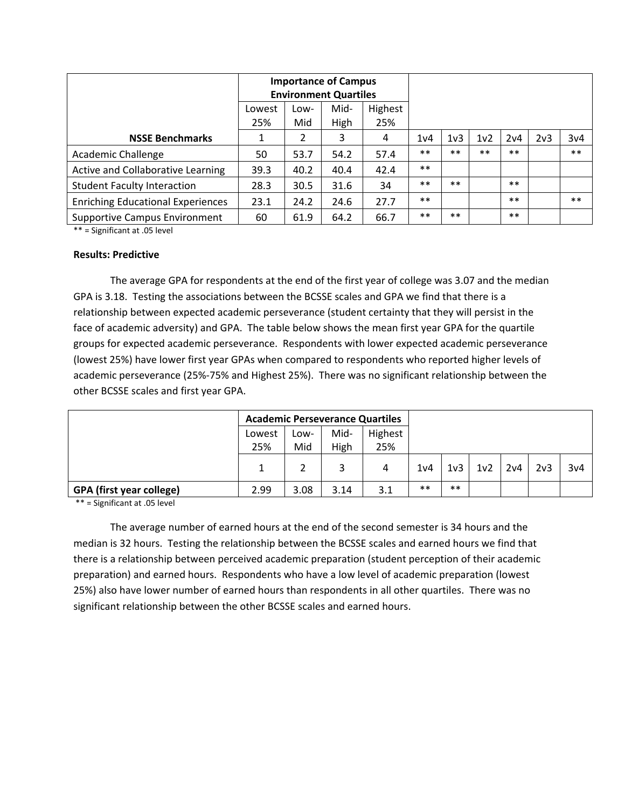|                                          |        |      | <b>Importance of Campus</b><br><b>Environment Quartiles</b> |         |                  |                  |                  |       |     |       |
|------------------------------------------|--------|------|-------------------------------------------------------------|---------|------------------|------------------|------------------|-------|-----|-------|
|                                          | Lowest | Low- | Mid-                                                        | Highest |                  |                  |                  |       |     |       |
|                                          | 25%    | Mid  | High                                                        | 25%     |                  |                  |                  |       |     |       |
| <b>NSSE Benchmarks</b>                   |        | 2    | 3                                                           | 4       | 1 <sub>v</sub> 4 | 1 <sub>v</sub> 3 | 1 <sub>v</sub> 2 | 2v4   | 2v3 | 3v4   |
| Academic Challenge                       | 50     | 53.7 | 54.2                                                        | 57.4    | $**$             | $**$             | $***$            | $***$ |     | $***$ |
| Active and Collaborative Learning        | 39.3   | 40.2 | 40.4                                                        | 42.4    | $***$            |                  |                  |       |     |       |
| <b>Student Faculty Interaction</b>       | 28.3   | 30.5 | 31.6                                                        | 34      | $***$            | $***$            |                  | $***$ |     |       |
| <b>Enriching Educational Experiences</b> | 23.1   | 24.2 | 24.6                                                        | 27.7    | $***$            |                  |                  | $***$ |     | $***$ |
| Supportive Campus Environment            | 60     | 61.9 | 64.2                                                        | 66.7    | $***$            | $**$             |                  | $***$ |     |       |

#### **Results: Predictive**

The average GPA for respondents at the end of the first year of college was 3.07 and the median GPA is 3.18. Testing the associations between the BCSSE scales and GPA we find that there is a relationship between expected academic perseverance (student certainty that they will persist in the face of academic adversity) and GPA. The table below shows the mean first year GPA for the quartile groups for expected academic perseverance. Respondents with lower expected academic perseverance (lowest 25%) have lower first year GPAs when compared to respondents who reported higher levels of academic perseverance (25%‐75% and Highest 25%). There was no significant relationship between the other BCSSE scales and first year GPA.

|                                 | <b>Academic Perseverance Quartiles</b> |      |      |         |       |                 |                  |     |                  |     |
|---------------------------------|----------------------------------------|------|------|---------|-------|-----------------|------------------|-----|------------------|-----|
|                                 | Lowest                                 | Low- | Mid- | Highest |       |                 |                  |     |                  |     |
|                                 | 25%                                    | Mid  | High | 25%     |       |                 |                  |     |                  |     |
|                                 |                                        |      |      | 4       | 1v4   | 1 <sub>v3</sub> | 1 <sub>v</sub> 2 | 2v4 | 2 <sub>v</sub> 3 | 3v4 |
| <b>GPA (first year college)</b> | 2.99                                   | 3.08 | 3.14 | 3.1     | $***$ | $**$            |                  |     |                  |     |

\*\* = Significant at .05 level

The average number of earned hours at the end of the second semester is 34 hours and the median is 32 hours. Testing the relationship between the BCSSE scales and earned hours we find that there is a relationship between perceived academic preparation (student perception of their academic preparation) and earned hours. Respondents who have a low level of academic preparation (lowest 25%) also have lower number of earned hours than respondents in all other quartiles. There was no significant relationship between the other BCSSE scales and earned hours.